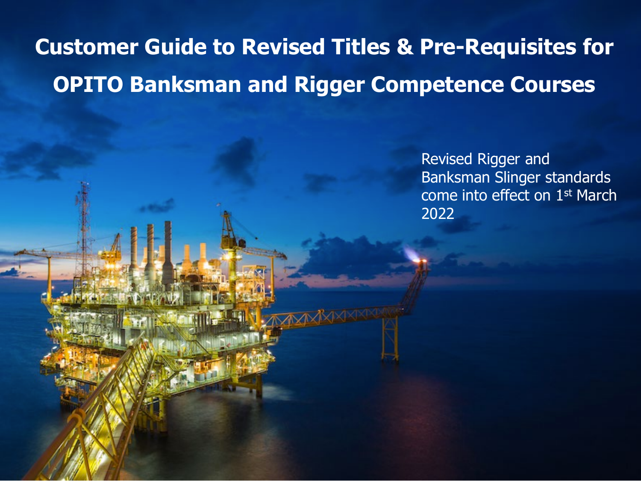# **Customer Guide to Revised Titles & Pre-Requisites for OPITO Banksman and Rigger Competence Courses**

Revised Rigger and Banksman Slinger standards come into effect on 1st March 2022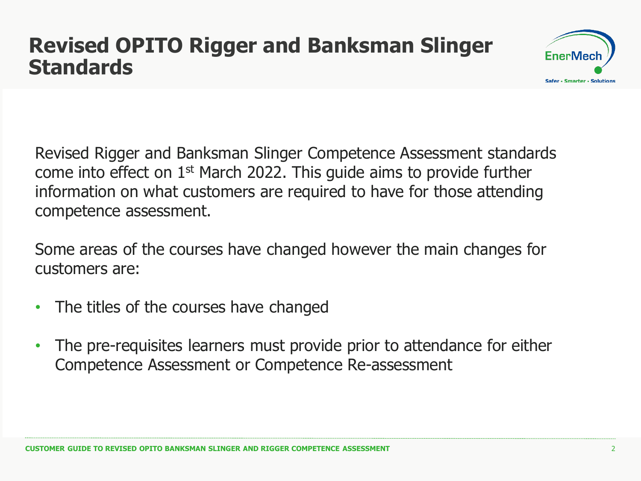# **Revised OPITO Rigger and Banksman Slinger Standards**



Revised Rigger and Banksman Slinger Competence Assessment standards come into effect on 1st March 2022. This guide aims to provide further information on what customers are required to have for those attending competence assessment.

Some areas of the courses have changed however the main changes for customers are:

- The titles of the courses have changed
- The pre-requisites learners must provide prior to attendance for either Competence Assessment or Competence Re-assessment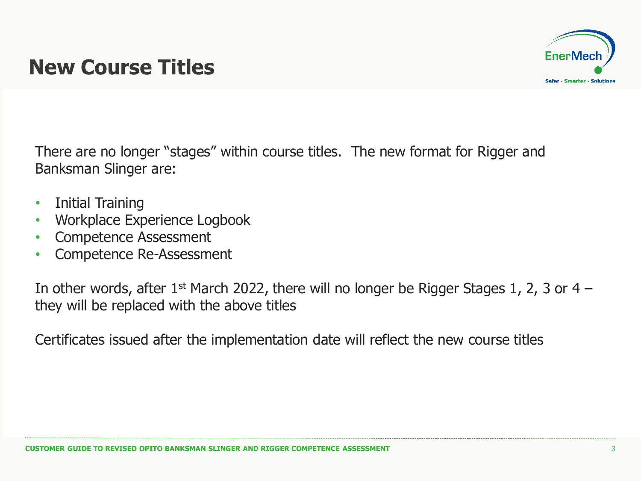

# **New Course Titles**

There are no longer "stages" within course titles. The new format for Rigger and Banksman Slinger are:

- Initial Training
- Workplace Experience Logbook
- Competence Assessment
- Competence Re-Assessment

In other words, after  $1^{st}$  March 2022, there will no longer be Rigger Stages 1, 2, 3 or 4 – they will be replaced with the above titles

Certificates issued after the implementation date will reflect the new course titles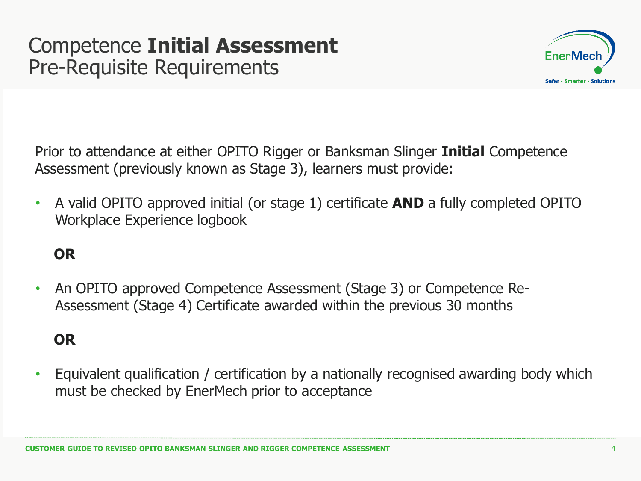### Competence **Initial Assessment** Pre-Requisite Requirements



Prior to attendance at either OPITO Rigger or Banksman Slinger **Initial** Competence Assessment (previously known as Stage 3), learners must provide:

• A valid OPITO approved initial (or stage 1) certificate **AND** a fully completed OPITO Workplace Experience logbook

#### **OR**

• An OPITO approved Competence Assessment (Stage 3) or Competence Re-Assessment (Stage 4) Certificate awarded within the previous 30 months

#### **OR**

• Equivalent qualification / certification by a nationally recognised awarding body which must be checked by EnerMech prior to acceptance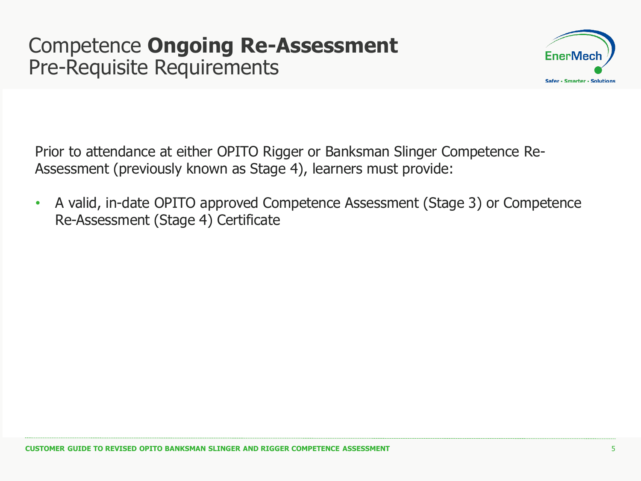### Competence **Ongoing Re-Assessment** Pre-Requisite Requirements



Prior to attendance at either OPITO Rigger or Banksman Slinger Competence Re-Assessment (previously known as Stage 4), learners must provide:

• A valid, in-date OPITO approved Competence Assessment (Stage 3) or Competence Re-Assessment (Stage 4) Certificate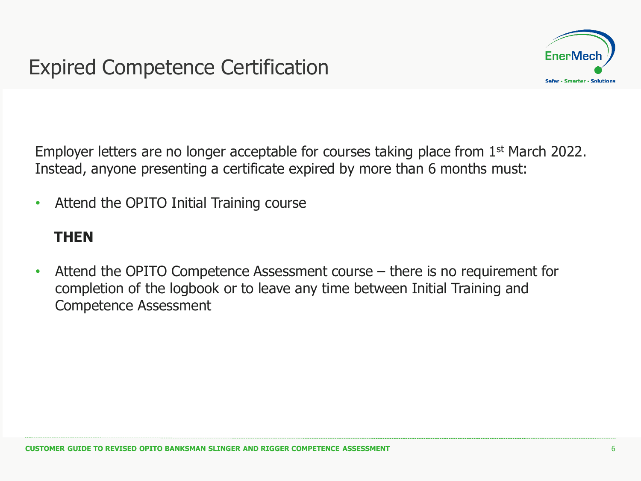

Employer letters are no longer acceptable for courses taking place from 1st March 2022. Instead, anyone presenting a certificate expired by more than 6 months must:

• Attend the OPITO Initial Training course

#### **THEN**

• Attend the OPITO Competence Assessment course – there is no requirement for completion of the logbook or to leave any time between Initial Training and Competence Assessment